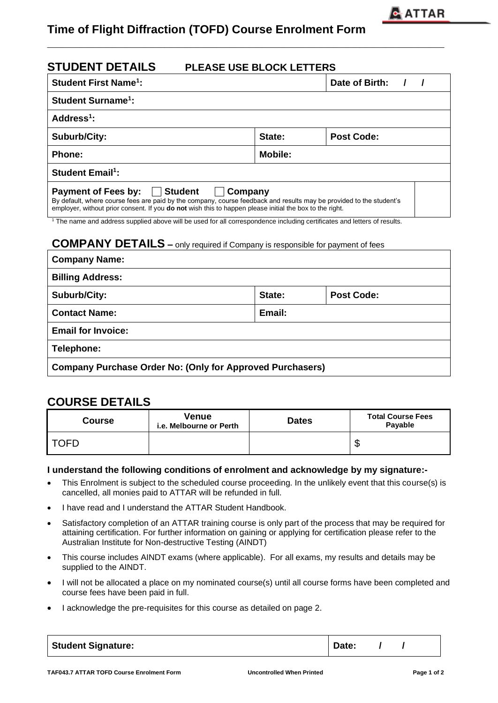

# **Time of Flight Diffraction (TOFD) Course Enrolment Form**

| <b>STUDENT DETAILS</b><br><b>PLEASE USE BLOCK LETTERS</b>                                                                                                                                                                                                                           |        |                |  |  |  |  |  |  |  |  |  |
|-------------------------------------------------------------------------------------------------------------------------------------------------------------------------------------------------------------------------------------------------------------------------------------|--------|----------------|--|--|--|--|--|--|--|--|--|
| <b>Student First Name<sup>1</sup>:</b>                                                                                                                                                                                                                                              |        | Date of Birth: |  |  |  |  |  |  |  |  |  |
| <b>Student Surname<sup>1</sup>:</b>                                                                                                                                                                                                                                                 |        |                |  |  |  |  |  |  |  |  |  |
| Address <sup>1</sup> :                                                                                                                                                                                                                                                              |        |                |  |  |  |  |  |  |  |  |  |
| <b>Suburb/City:</b>                                                                                                                                                                                                                                                                 | State: | Post Code:     |  |  |  |  |  |  |  |  |  |
| Mobile:<br><b>Phone:</b>                                                                                                                                                                                                                                                            |        |                |  |  |  |  |  |  |  |  |  |
| <b>Student Email<sup>1</sup>:</b>                                                                                                                                                                                                                                                   |        |                |  |  |  |  |  |  |  |  |  |
| Payment of Fees by:   Student<br>  Company<br>By default, where course fees are paid by the company, course feedback and results may be provided to the student's<br>employer, without prior consent. If you <b>do not</b> wish this to happen please initial the box to the right. |        |                |  |  |  |  |  |  |  |  |  |

**\_\_\_\_\_\_\_\_\_\_\_\_\_\_\_\_\_\_\_\_\_\_\_\_\_\_\_\_\_\_\_\_\_\_\_\_\_\_\_\_\_\_\_\_\_\_\_\_\_\_\_\_\_\_\_\_\_\_\_\_\_**

<sup>1</sup> The name and address supplied above will be used for all correspondence including certificates and letters of results.

### **COMPANY DETAILS –** only required if Company is responsible for payment of fees

| <b>Company Name:</b>                                             |        |                   |  |  |  |  |  |
|------------------------------------------------------------------|--------|-------------------|--|--|--|--|--|
| <b>Billing Address:</b>                                          |        |                   |  |  |  |  |  |
| Suburb/City:                                                     | State: | <b>Post Code:</b> |  |  |  |  |  |
| <b>Contact Name:</b>                                             | Email: |                   |  |  |  |  |  |
| <b>Email for Invoice:</b>                                        |        |                   |  |  |  |  |  |
| Telephone:                                                       |        |                   |  |  |  |  |  |
| <b>Company Purchase Order No: (Only for Approved Purchasers)</b> |        |                   |  |  |  |  |  |

## **COURSE DETAILS**

| <b>Course</b> | Venue<br>i.e. Melbourne or Perth | <b>Dates</b> | <b>Total Course Fees</b><br>Payable |  |  |  |
|---------------|----------------------------------|--------------|-------------------------------------|--|--|--|
| OFD           |                                  |              | ╓<br>D                              |  |  |  |

#### **I understand the following conditions of enrolment and acknowledge by my signature:-**

- This Enrolment is subject to the scheduled course proceeding. In the unlikely event that this course(s) is cancelled, all monies paid to ATTAR will be refunded in full.
- I have read and I understand the ATTAR Student Handbook.
- Satisfactory completion of an ATTAR training course is only part of the process that may be required for attaining certification. For further information on gaining or applying for certification please refer to the Australian Institute for Non-destructive Testing (AINDT)
- This course includes AINDT exams (where applicable). For all exams, my results and details may be supplied to the AINDT.
- I will not be allocated a place on my nominated course(s) until all course forms have been completed and course fees have been paid in full.
- I acknowledge the pre-requisites for this course as detailed on page 2.

| <b>Student Signature:</b> | Date: |  |  |
|---------------------------|-------|--|--|
|---------------------------|-------|--|--|